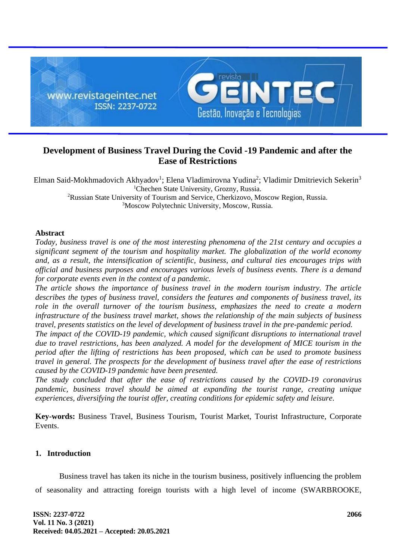

# **Development of Business Travel During the Covid -19 Pandemic and after the Ease of Restrictions**

Elman Said-Mokhmadovich Akhyadov<sup>1</sup>; Elena Vladimirovna Yudina<sup>2</sup>; Vladimir Dmitrievich Sekerin<sup>3</sup> <sup>1</sup>Chechen State University, Grozny, Russia. <sup>2</sup>Russian State University of Tourism and Service, Cherkizovo, Moscow Region, Russia. <sup>3</sup>Moscow Polytechnic University, Moscow, Russia.

### **Abstract**

*Today, business travel is one of the most interesting phenomena of the 21st century and occupies a significant segment of the tourism and hospitality market. The globalization of the world economy and, as a result, the intensification of scientific, business, and cultural ties encourages trips with official and business purposes and encourages various levels of business events. There is a demand for corporate events even in the context of a pandemic.*

*The article shows the importance of business travel in the modern tourism industry. The article describes the types of business travel, considers the features and components of business travel, its role in the overall turnover of the tourism business, emphasizes the need to create a modern infrastructure of the business travel market, shows the relationship of the main subjects of business travel, presents statistics on the level of development of business travel in the pre-pandemic period.*

*The impact of the COVID-19 pandemic, which caused significant disruptions to international travel due to travel restrictions, has been analyzed. A model for the development of MICE tourism in the period after the lifting of restrictions has been proposed, which can be used to promote business travel in general. The prospects for the development of business travel after the ease of restrictions caused by the COVID-19 pandemic have been presented.*

*The study concluded that after the ease of restrictions caused by the COVID-19 coronavirus pandemic, business travel should be aimed at expanding the tourist range, creating unique experiences, diversifying the tourist offer, creating conditions for epidemic safety and leisure.*

**Key-words:** Business Travel, Business Tourism, Tourist Market, Tourist Infrastructure, Corporate Events.

### **1. Introduction**

Business travel has taken its niche in the tourism business, positively influencing the problem of seasonality and attracting foreign tourists with a high level of income (SWARBROOKE,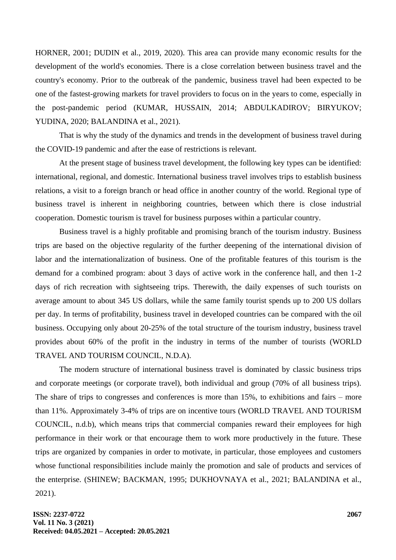HORNER, 2001; DUDIN et al., 2019, 2020). This area can provide many economic results for the development of the world's economies. There is a close correlation between business travel and the country's economy. Prior to the outbreak of the pandemic, business travel had been expected to be one of the fastest-growing markets for travel providers to focus on in the years to come, especially in the post-pandemic period (KUMAR, HUSSAIN, 2014; ABDULKADIROV; BIRYUKOV; YUDINA, 2020; BALANDINA et al., 2021).

That is why the study of the dynamics and trends in the development of business travel during the COVID-19 pandemic and after the ease of restrictions is relevant.

At the present stage of business travel development, the following key types can be identified: international, regional, and domestic. International business travel involves trips to establish business relations, a visit to a foreign branch or head office in another country of the world. Regional type of business travel is inherent in neighboring countries, between which there is close industrial cooperation. Domestic tourism is travel for business purposes within a particular country.

Business travel is a highly profitable and promising branch of the tourism industry. Business trips are based on the objective regularity of the further deepening of the international division of labor and the internationalization of business. One of the profitable features of this tourism is the demand for a combined program: about 3 days of active work in the conference hall, and then 1-2 days of rich recreation with sightseeing trips. Therewith, the daily expenses of such tourists on average amount to about 345 US dollars, while the same family tourist spends up to 200 US dollars per day. In terms of profitability, business travel in developed countries can be compared with the oil business. Occupying only about 20-25% of the total structure of the tourism industry, business travel provides about 60% of the profit in the industry in terms of the number of tourists (WORLD TRAVEL AND TOURISM COUNCIL, N.D.A).

The modern structure of international business travel is dominated by classic business trips and corporate meetings (or corporate travel), both individual and group (70% of all business trips). The share of trips to congresses and conferences is more than 15%, to exhibitions and fairs – more than 11%. Approximately 3-4% of trips are on incentive tours (WORLD TRAVEL AND TOURISM COUNCIL, n.d.b), which means trips that commercial companies reward their employees for high performance in their work or that encourage them to work more productively in the future. These trips are organized by companies in order to motivate, in particular, those employees and customers whose functional responsibilities include mainly the promotion and sale of products and services of the enterprise. (SHINEW; BACKMAN, 1995; DUKHOVNAYA et al., 2021; BALANDINA et al., 2021).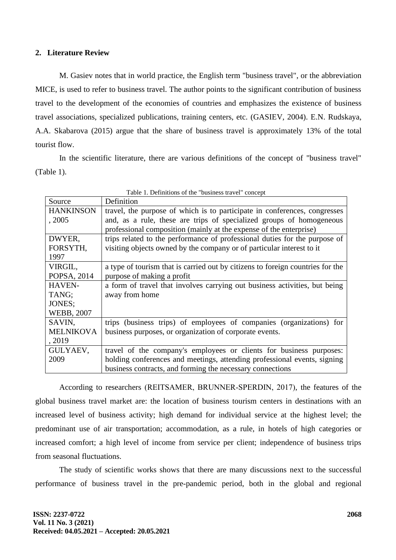### **2. Literature Review**

M. Gasiev notes that in world practice, the English term "business travel", or the abbreviation MICE, is used to refer to business travel. The author points to the significant contribution of business travel to the development of the economies of countries and emphasizes the existence of business travel associations, specialized publications, training centers, etc. (GASIEV, 2004). E.N. Rudskaya, A.A. Skabarova (2015) argue that the share of business travel is approximately 13% of the total tourist flow.

In the scientific literature, there are various definitions of the concept of "business travel" (Table 1).

| Table 1. Definitions of the business travel concept |                                                                                |
|-----------------------------------------------------|--------------------------------------------------------------------------------|
| Source                                              | Definition                                                                     |
| <b>HANKINSON</b>                                    | travel, the purpose of which is to participate in conferences, congresses      |
| , 2005                                              | and, as a rule, these are trips of specialized groups of homogeneous           |
|                                                     | professional composition (mainly at the expense of the enterprise)             |
| DWYER,                                              | trips related to the performance of professional duties for the purpose of     |
| FORSYTH,                                            | visiting objects owned by the company or of particular interest to it          |
| 1997                                                |                                                                                |
| VIRGIL,                                             | a type of tourism that is carried out by citizens to foreign countries for the |
| POPSA, 2014                                         | purpose of making a profit                                                     |
| <b>HAVEN-</b>                                       | a form of travel that involves carrying out business activities, but being     |
| TANG;                                               | away from home                                                                 |
| JONES;                                              |                                                                                |
| <b>WEBB, 2007</b>                                   |                                                                                |
| SAVIN.                                              | trips (business trips) of employees of companies (organizations) for           |
| <b>MELNIKOVA</b>                                    | business purposes, or organization of corporate events.                        |
| , 2019                                              |                                                                                |
| GULYAEV,                                            | travel of the company's employees or clients for business purposes:            |
| 2009                                                | holding conferences and meetings, attending professional events, signing       |
|                                                     | business contracts, and forming the necessary connections                      |

Table 1. Definitions of the "business travel" concept

According to researchers (REITSAMER, BRUNNER‐SPERDIN, 2017), the features of the global business travel market are: the location of business tourism centers in destinations with an increased level of business activity; high demand for individual service at the highest level; the predominant use of air transportation; accommodation, as a rule, in hotels of high categories or increased comfort; a high level of income from service per client; independence of business trips from seasonal fluctuations.

The study of scientific works shows that there are many discussions next to the successful performance of business travel in the pre-pandemic period, both in the global and regional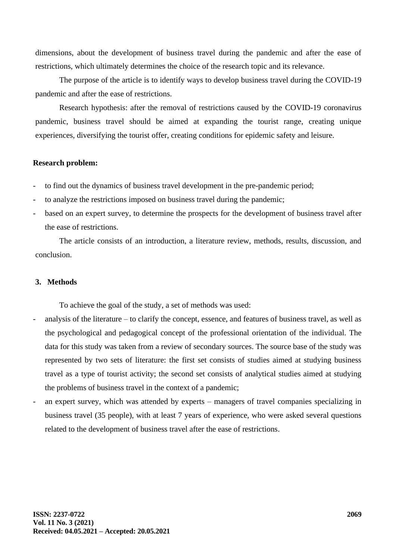dimensions, about the development of business travel during the pandemic and after the ease of restrictions, which ultimately determines the choice of the research topic and its relevance.

The purpose of the article is to identify ways to develop business travel during the COVID-19 pandemic and after the ease of restrictions.

Research hypothesis: after the removal of restrictions caused by the COVID-19 coronavirus pandemic, business travel should be aimed at expanding the tourist range, creating unique experiences, diversifying the tourist offer, creating conditions for epidemic safety and leisure.

### **Research problem:**

to find out the dynamics of business travel development in the pre-pandemic period;

- to analyze the restrictions imposed on business travel during the pandemic;
- based on an expert survey, to determine the prospects for the development of business travel after the ease of restrictions.

The article consists of an introduction, a literature review, methods, results, discussion, and conclusion.

### **3. Methods**

To achieve the goal of the study, a set of methods was used:

- analysis of the literature to clarify the concept, essence, and features of business travel, as well as the psychological and pedagogical concept of the professional orientation of the individual. The data for this study was taken from a review of secondary sources. The source base of the study was represented by two sets of literature: the first set consists of studies aimed at studying business travel as a type of tourist activity; the second set consists of analytical studies aimed at studying the problems of business travel in the context of a pandemic;
- an expert survey, which was attended by experts managers of travel companies specializing in business travel (35 people), with at least 7 years of experience, who were asked several questions related to the development of business travel after the ease of restrictions.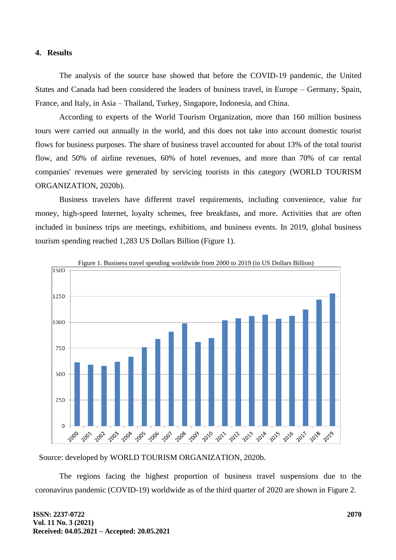### **4. Results**

The analysis of the source base showed that before the COVID-19 pandemic, the United States and Canada had been considered the leaders of business travel, in Europe – Germany, Spain, France, and Italy, in Asia – Thailand, Turkey, Singapore, Indonesia, and China.

According to experts of the World Tourism Organization, more than 160 million business tours were carried out annually in the world, and this does not take into account domestic tourist flows for business purposes. The share of business travel accounted for about 13% of the total tourist flow, and 50% of airline revenues, 60% of hotel revenues, and more than 70% of car rental companies' revenues were generated by servicing tourists in this category (WORLD TOURISM ORGANIZATION, 2020b).

Business travelers have different travel requirements, including convenience, value for money, high-speed Internet, loyalty schemes, free breakfasts, and more. Activities that are often included in business trips are meetings, exhibitions, and business events. In 2019, global business tourism spending reached 1,283 US Dollars Billion (Figure 1).



Source: developed by WORLD TOURISM ORGANIZATION, 2020b.

The regions facing the highest proportion of business travel suspensions due to the coronavirus pandemic (COVID-19) worldwide as of the third quarter of 2020 are shown in Figure 2.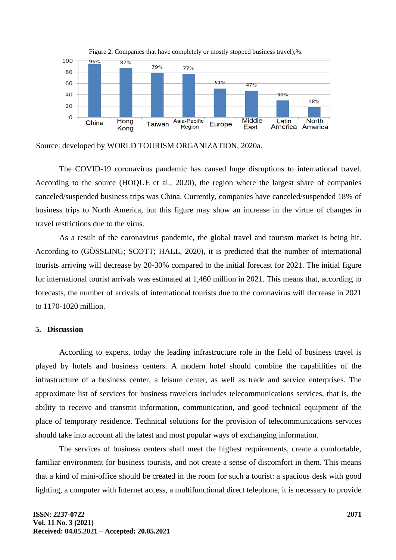

Figure 2. Companies that have completely or mostly stopped business travel),%.

Source: developed by WORLD TOURISM ORGANIZATION, 2020a.

The COVID-19 coronavirus pandemic has caused huge disruptions to international travel. According to the source (HOQUE et al., 2020), the region where the largest share of companies canceled/suspended business trips was China. Currently, companies have canceled/suspended 18% of business trips to North America, but this figure may show an increase in the virtue of changes in travel restrictions due to the virus.

As a result of the coronavirus pandemic, the global travel and tourism market is being hit. According to (GÖSSLING; SCOTT; HALL, 2020), it is predicted that the number of international tourists arriving will decrease by 20-30% compared to the initial forecast for 2021. The initial figure for international tourist arrivals was estimated at 1,460 million in 2021. This means that, according to forecasts, the number of arrivals of international tourists due to the coronavirus will decrease in 2021 to 1170-1020 million.

#### **5. Discussion**

According to experts, today the leading infrastructure role in the field of business travel is played by hotels and business centers. A modern hotel should combine the capabilities of the infrastructure of a business center, a leisure center, as well as trade and service enterprises. The approximate list of services for business travelers includes telecommunications services, that is, the ability to receive and transmit information, communication, and good technical equipment of the place of temporary residence. Technical solutions for the provision of telecommunications services should take into account all the latest and most popular ways of exchanging information.

The services of business centers shall meet the highest requirements, create a comfortable, familiar environment for business tourists, and not create a sense of discomfort in them. This means that a kind of mini-office should be created in the room for such a tourist: a spacious desk with good lighting, a computer with Internet access, a multifunctional direct telephone, it is necessary to provide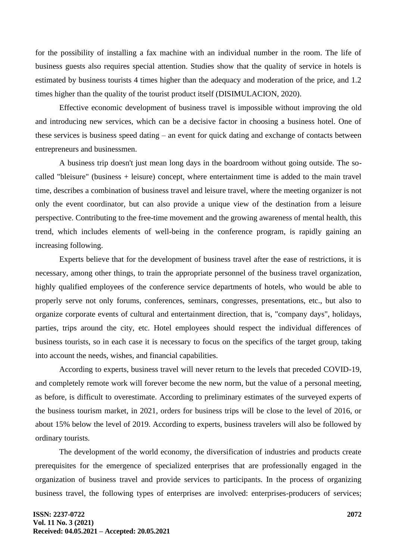for the possibility of installing a fax machine with an individual number in the room. The life of business guests also requires special attention. Studies show that the quality of service in hotels is estimated by business tourists 4 times higher than the adequacy and moderation of the price, and 1.2 times higher than the quality of the tourist product itself (DISIMULACION, 2020).

Effective economic development of business travel is impossible without improving the old and introducing new services, which can be a decisive factor in choosing a business hotel. One of these services is business speed dating – an event for quick dating and exchange of contacts between entrepreneurs and businessmen.

A business trip doesn't just mean long days in the boardroom without going outside. The socalled "bleisure" (business + leisure) concept, where entertainment time is added to the main travel time, describes a combination of business travel and leisure travel, where the meeting organizer is not only the event coordinator, but can also provide a unique view of the destination from a leisure perspective. Contributing to the free-time movement and the growing awareness of mental health, this trend, which includes elements of well-being in the conference program, is rapidly gaining an increasing following.

Experts believe that for the development of business travel after the ease of restrictions, it is necessary, among other things, to train the appropriate personnel of the business travel organization, highly qualified employees of the conference service departments of hotels, who would be able to properly serve not only forums, conferences, seminars, congresses, presentations, etc., but also to organize corporate events of cultural and entertainment direction, that is, "company days", holidays, parties, trips around the city, etc. Hotel employees should respect the individual differences of business tourists, so in each case it is necessary to focus on the specifics of the target group, taking into account the needs, wishes, and financial capabilities.

According to experts, business travel will never return to the levels that preceded COVID-19, and completely remote work will forever become the new norm, but the value of a personal meeting, as before, is difficult to overestimate. According to preliminary estimates of the surveyed experts of the business tourism market, in 2021, orders for business trips will be close to the level of 2016, or about 15% below the level of 2019. According to experts, business travelers will also be followed by ordinary tourists.

The development of the world economy, the diversification of industries and products create prerequisites for the emergence of specialized enterprises that are professionally engaged in the organization of business travel and provide services to participants. In the process of organizing business travel, the following types of enterprises are involved: enterprises-producers of services;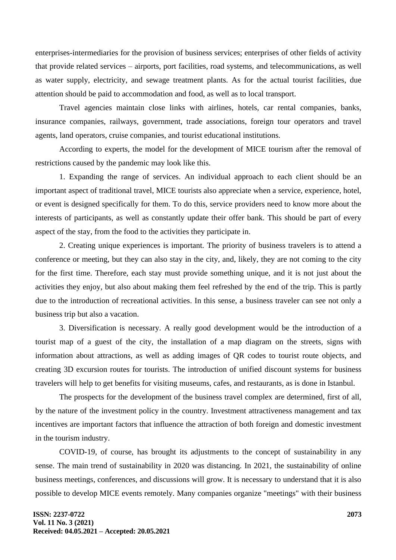enterprises-intermediaries for the provision of business services; enterprises of other fields of activity that provide related services – airports, port facilities, road systems, and telecommunications, as well as water supply, electricity, and sewage treatment plants. As for the actual tourist facilities, due attention should be paid to accommodation and food, as well as to local transport.

Travel agencies maintain close links with airlines, hotels, car rental companies, banks, insurance companies, railways, government, trade associations, foreign tour operators and travel agents, land operators, cruise companies, and tourist educational institutions.

According to experts, the model for the development of MICE tourism after the removal of restrictions caused by the pandemic may look like this.

1. Expanding the range of services. An individual approach to each client should be an important aspect of traditional travel, MICE tourists also appreciate when a service, experience, hotel, or event is designed specifically for them. To do this, service providers need to know more about the interests of participants, as well as constantly update their offer bank. This should be part of every aspect of the stay, from the food to the activities they participate in.

2. Creating unique experiences is important. The priority of business travelers is to attend a conference or meeting, but they can also stay in the city, and, likely, they are not coming to the city for the first time. Therefore, each stay must provide something unique, and it is not just about the activities they enjoy, but also about making them feel refreshed by the end of the trip. This is partly due to the introduction of recreational activities. In this sense, a business traveler can see not only a business trip but also a vacation.

3. Diversification is necessary. A really good development would be the introduction of a tourist map of a guest of the city, the installation of a map diagram on the streets, signs with information about attractions, as well as adding images of QR codes to tourist route objects, and creating 3D excursion routes for tourists. The introduction of unified discount systems for business travelers will help to get benefits for visiting museums, cafes, and restaurants, as is done in Istanbul.

The prospects for the development of the business travel complex are determined, first of all, by the nature of the investment policy in the country. Investment attractiveness management and tax incentives are important factors that influence the attraction of both foreign and domestic investment in the tourism industry.

COVID-19, of course, has brought its adjustments to the concept of sustainability in any sense. The main trend of sustainability in 2020 was distancing. In 2021, the sustainability of online business meetings, conferences, and discussions will grow. It is necessary to understand that it is also possible to develop MICE events remotely. Many companies organize "meetings" with their business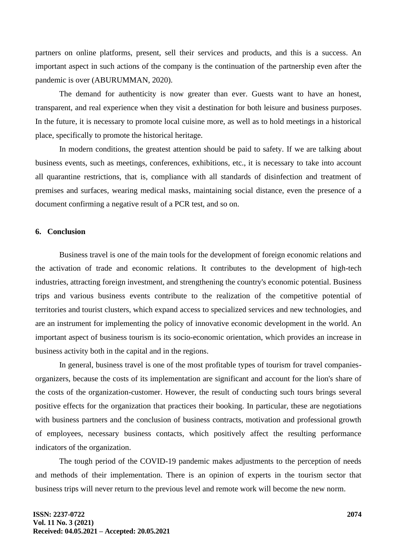partners on online platforms, present, sell their services and products, and this is a success. An important aspect in such actions of the company is the continuation of the partnership even after the pandemic is over (ABURUMMAN, 2020).

The demand for authenticity is now greater than ever. Guests want to have an honest, transparent, and real experience when they visit a destination for both leisure and business purposes. In the future, it is necessary to promote local cuisine more, as well as to hold meetings in a historical place, specifically to promote the historical heritage.

In modern conditions, the greatest attention should be paid to safety. If we are talking about business events, such as meetings, conferences, exhibitions, etc., it is necessary to take into account all quarantine restrictions, that is, compliance with all standards of disinfection and treatment of premises and surfaces, wearing medical masks, maintaining social distance, even the presence of a document confirming a negative result of a PCR test, and so on.

#### **6. Conclusion**

Business travel is one of the main tools for the development of foreign economic relations and the activation of trade and economic relations. It contributes to the development of high-tech industries, attracting foreign investment, and strengthening the country's economic potential. Business trips and various business events contribute to the realization of the competitive potential of territories and tourist clusters, which expand access to specialized services and new technologies, and are an instrument for implementing the policy of innovative economic development in the world. An important aspect of business tourism is its socio-economic orientation, which provides an increase in business activity both in the capital and in the regions.

In general, business travel is one of the most profitable types of tourism for travel companiesorganizers, because the costs of its implementation are significant and account for the lion's share of the costs of the organization-customer. However, the result of conducting such tours brings several positive effects for the organization that practices their booking. In particular, these are negotiations with business partners and the conclusion of business contracts, motivation and professional growth of employees, necessary business contacts, which positively affect the resulting performance indicators of the organization.

The tough period of the COVID-19 pandemic makes adjustments to the perception of needs and methods of their implementation. There is an opinion of experts in the tourism sector that business trips will never return to the previous level and remote work will become the new norm.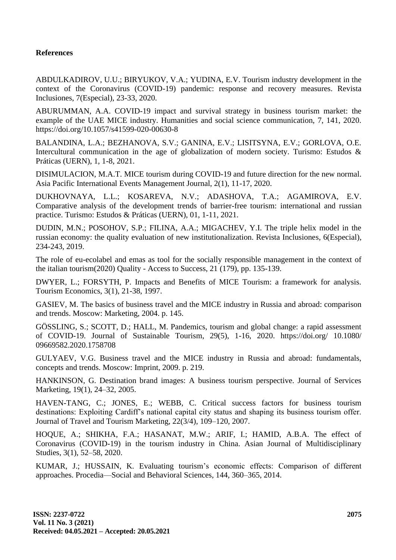## **References**

ABDULKADIROV, U.U.; BIRYUKOV, V.A.; YUDINA, E.V. Tourism industry development in the context of the Coronavirus (COVID-19) pandemic: response and recovery measures. Revista Inclusiones, 7(Especial), 23-33, 2020.

ABURUMMAN, A.A. COVID-19 impact and survival strategy in business tourism market: the example of the UAE MICE industry. Humanities and social science communication, 7, 141, 2020. https://doi.org/10.1057/s41599-020-00630-8

BALANDINA, L.A.; BEZHANOVA, S.V.; GANINA, E.V.; LISITSYNA, E.V.; GORLOVA, O.E. Intercultural communication in the age of globalization of modern society. Turismo: Estudos & Práticas (UERN), 1, 1-8, 2021.

DISIMULACION, M.A.T. MICE tourism during COVID-19 and future direction for the new normal. Asia Pacific International Events Management Journal, 2(1), 11-17, 2020.

DUKHOVNAYA, L.L.; KOSAREVA, N.V.; ADASHOVA, T.A.; AGAMIROVA, E.V. Comparative analysis of the development trends of barrier-free tourism: international and russian practice. Turismo: Estudos & Práticas (UERN), 01, 1-11, 2021.

DUDIN, M.N.; POSOHOV, S.P.; FILINA, A.A.; MIGACHEV, Y.I. The triple helix model in the russian economy: the quality evaluation of new institutionalization. Revista Inclusiones, 6(Especial), 234-243, 2019.

The role of eu-ecolabel and emas as tool for the socially responsible management in the context of the italian tourism(2020) Quality - Access to Success, 21 (179), pp. 135-139.

DWYER, L.; FORSYTH, P. Impacts and Benefits of MICE Tourism: a framework for analysis. Tourism Economics, 3(1), 21-38, 1997.

GASIEV, M. The basics of business travel and the MICE industry in Russia and abroad: comparison and trends. Moscow: Marketing, 2004. p. 145.

GÖSSLING, S.; SCOTT, D.; HALL, M. Pandemics, tourism and global change: a rapid assessment of COVID-19. Journal of Sustainable Tourism, 29(5), 1-16, 2020. https://doi.org/ 10.1080/ 09669582.2020.1758708

GULYAEV, V.G. Business travel and the MICE industry in Russia and abroad: fundamentals, concepts and trends. Moscow: Imprint, 2009. p. 219.

HANKINSON, G. Destination brand images: A business tourism perspective. Journal of Services Marketing, 19(1), 24–32, 2005.

HAVEN-TANG, C.; JONES, E.; WEBB, C. Critical success factors for business tourism destinations: Exploiting Cardiff's national capital city status and shaping its business tourism offer. Journal of Travel and Tourism Marketing, 22(3/4), 109–120, 2007.

HOQUE, A.; SHIKHA, F.A.; HASANAT, M.W.; ARIF, I.; HAMID, A.B.A. The effect of Coronavirus (COVID-19) in the tourism industry in China. Asian Journal of Multidisciplinary Studies, 3(1), 52–58, 2020.

KUMAR, J.; HUSSAIN, K. Evaluating tourism's economic effects: Comparison of different approaches. Procedia—Social and Behavioral Sciences, 144, 360–365, 2014.